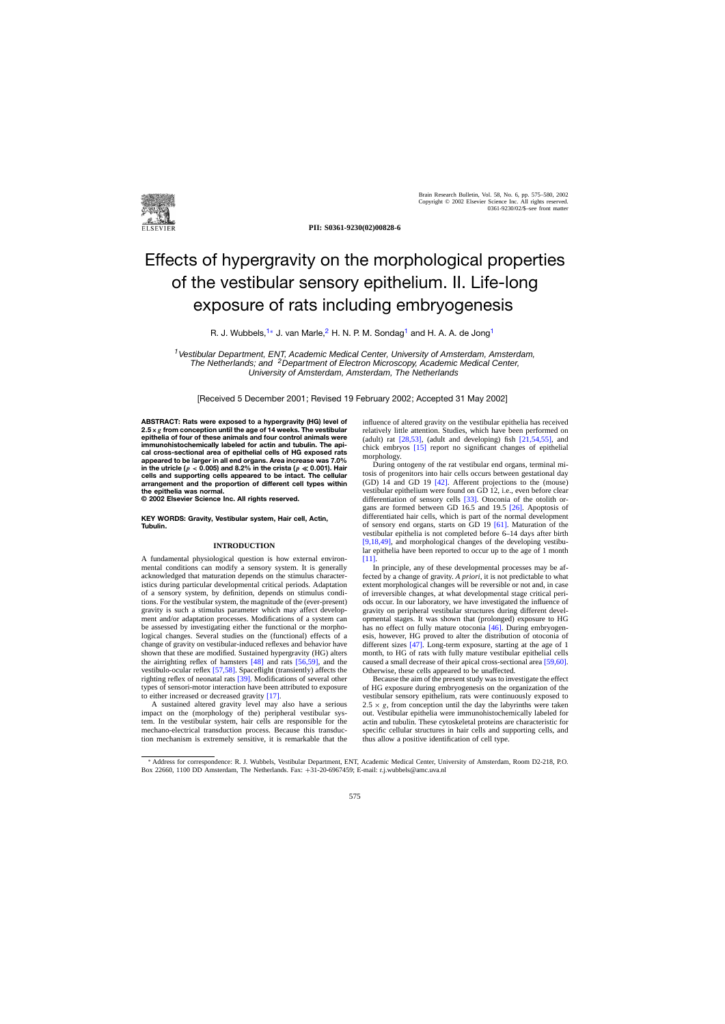

**PII: S0361-9230(02)00828-6**

# Effects of hypergravity on the morphological properties of the vestibular sensory epithelium. II. Life-long exposure of rats including embryogenesis

R. J. Wubbels,<sup>1∗</sup> J. van Marle,<sup>2</sup> H. N. P. M. Sondag<sup>1</sup> and H. A. A. de Jong<sup>1</sup>

*<sup>1</sup>*Vestibular Department, ENT, Academic Medical Center, University of Amsterdam, Amsterdam, The Netherlands; and *<sup>2</sup>*Department of Electron Microscopy, Academic Medical Center, University of Amsterdam, Amsterdam, The Netherlands

[Received 5 December 2001; Revised 19 February 2002; Accepted 31 May 2002]

**ABSTRACT: Rats were exposed to a hypergravity (HG) level of 2***.***5×***g* **from conception until the age of 14 weeks. The vestibular epithelia of four of these animals and four control animals were immunohistochemically labeled for actin and tubulin. The apical cross-sectional area of epithelial cells of HG exposed rats appeared to be larger in all end organs. Area increase was 7.0%** in the utricle ( $p < 0.005$ ) and 8.2% in the crista ( $p \ll 0.001$ ). Hair **cells and supporting cells appeared to be intact. The cellular arrangement and the proportion of different cell types within the epithelia was normal.**

**© 2002 Elsevier Science Inc. All rights reserved.**

**KEY WORDS: Gravity, Vestibular system, Hair cell, Actin, Tubulin.**

# **INTRODUCTION**

A fundamental physiological question is how external environmental conditions can modify a sensory system. It is generally acknowledged that maturation depends on the stimulus characteristics during particular developmental critical periods. Adaptation of a sensory system, by definition, depends on stimulus conditions. For the vestibular system, the magnitude of the (ever-present) gravity is such a stimulus parameter which may affect development and/or adaptation processes. Modifications of a system can be assessed by investigating either the functional or the morphological changes. Several studies on the (functional) effects of a change of gravity on vestibular-induced reflexes and behavior have shown that these are modified. Sustained hypergravity (HG) alters the airrighting reflex of hamsters [\[48\]](#page-5-0) and rats [\[56,59\],](#page-5-0) and the vestibulo-ocular reflex [\[57,58\]. S](#page-5-0)paceflight (transiently) affects the righting reflex of neonatal rats [\[39\]. M](#page-5-0)odifications of several other types of sensori-motor interaction have been attributed to exposure to either increased or decreased gravity [\[17\].](#page-5-0)

A sustained altered gravity level may also have a serious impact on the (morphology of the) peripheral vestibular system. In the vestibular system, hair cells are responsible for the mechano-electrical transduction process. Because this transduction mechanism is extremely sensitive, it is remarkable that the influence of altered gravity on the vestibular epithelia has received relatively little attention. Studies, which have been performed on (adult) rat  $[28,53]$ , (adult and developing) fish  $[21,54,55]$ , and chick embryos [\[15\]](#page-4-0) report no significant changes of epithelial morphology.

During ontogeny of the rat vestibular end organs, terminal mitosis of progenitors into hair cells occurs between gestational day (GD) 14 and GD 19 [\[42\].](#page-5-0) Afferent projections to the (mouse) vestibular epithelium were found on GD 12, i.e., even before clear differentiation of sensory cells [\[33\].](#page-5-0) Otoconia of the otolith organs are formed between GD 16.5 and 19.5 [\[26\].](#page-5-0) Apoptosis of differentiated hair cells, which is part of the normal development of sensory end organs, starts on GD 19 [\[61\].](#page-5-0) Maturation of the vestibular epithelia is not completed before 6–14 days after birth [\[9,18,49\],](#page-4-0) and morphological changes of the developing vestibular epithelia have been reported to occur up to the age of 1 month [\[11\].](#page-4-0)

In principle, any of these developmental processes may be affected by a change of gravity. *A priori*, it is not predictable to what extent morphological changes will be reversible or not and, in case of irreversible changes, at what developmental stage critical periods occur. In our laboratory, we have investigated the influence of gravity on peripheral vestibular structures during different developmental stages. It was shown that (prolonged) exposure to HG has no effect on fully mature otoconia [\[46\].](#page-5-0) During embryogenesis, however, HG proved to alter the distribution of otoconia of different sizes  $\sqrt{47}$ . Long-term exposure, starting at the age of 1 month, to HG of rats with fully mature vestibular epithelial cells caused a small decrease of their apical cross-sectional area [\[59,60\].](#page-5-0) Otherwise, these cells appeared to be unaffected.

Because the aim of the present study was to investigate the effect of HG exposure during embryogenesis on the organization of the vestibular sensory epithelium, rats were continuously exposed to  $2.5 \times g$ , from conception until the day the labyrinths were taken out. Vestibular epithelia were immunohistochemically labeled for actin and tubulin. These cytoskeletal proteins are characteristic for specific cellular structures in hair cells and supporting cells, and thus allow a positive identification of cell type.

<sup>∗</sup> Address for correspondence: R. J. Wubbels, Vestibular Department, ENT, Academic Medical Center, University of Amsterdam, Room D2-218, P.O. Box 22660, 1100 DD Amsterdam, The Netherlands. Fax: +31-20-6967459; E-mail: r.j.wubbels@amc.uva.nl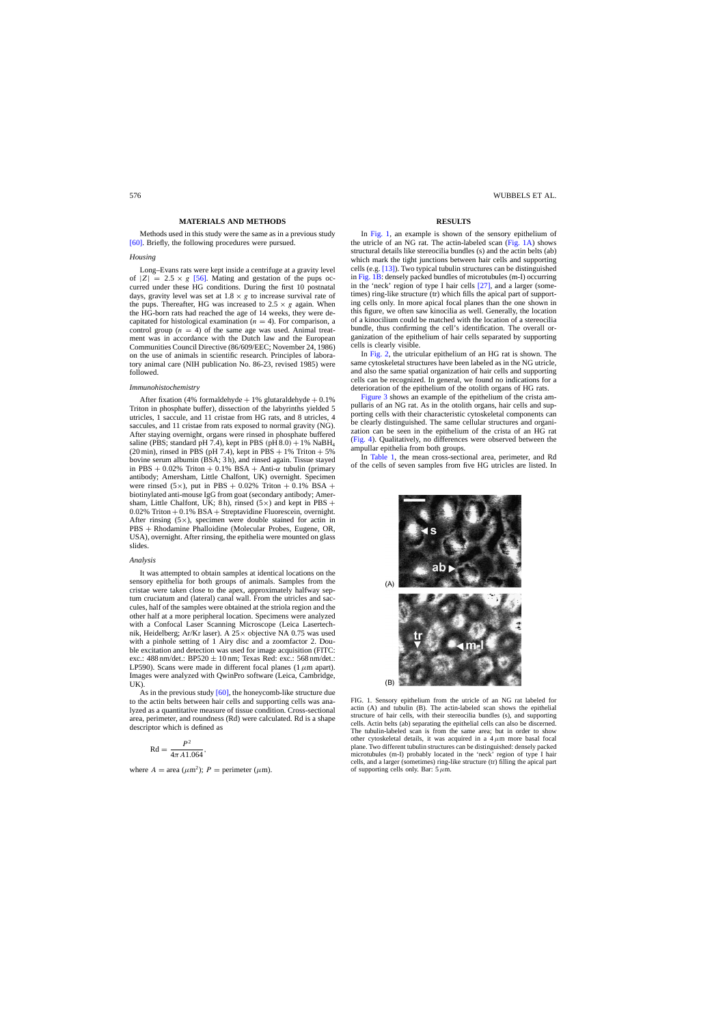### **MATERIALS AND METHODS**

<span id="page-1-0"></span>Methods used in this study were the same as in a previous study [\[60\]. B](#page-5-0)riefly, the following procedures were pursued.

## *Housing*

Long–Evans rats were kept inside a centrifuge at a gravity level of  $|Z| = 2.5 \times g$  [\[56\].](#page-5-0) Mating and gestation of the pups occurred under these HG conditions. During the first 10 postnatal days, gravity level was set at  $1.8 \times g$  to increase survival rate of the pups. Thereafter, HG was increased to  $2.5 \times g$  again. When the HG-born rats had reached the age of 14 weeks, they were decapitated for histological examination ( $n = 4$ ). For comparison, a control group ( $n = 4$ ) of the same age was used. Animal treatment was in accordance with the Dutch law and the European Communities Council Directive (86/609/EEC; November 24, 1986) on the use of animals in scientific research. Principles of laboratory animal care (NIH publication No. 86-23, revised 1985) were followed.

#### *Immunohistochemistry*

After fixation (4% formaldehyde  $+ 1%$  glutaraldehyde  $+ 0.1%$ Triton in phosphate buffer), dissection of the labyrinths yielded 5 utricles, 1 saccule, and 11 cristae from HG rats, and 8 utricles, 4 saccules, and 11 cristae from rats exposed to normal gravity (NG). After staying overnight, organs were rinsed in phosphate buffered saline (PBS; standard pH 7.4), kept in PBS (pH  $8.0$ ) + 1% NaBH<sub>4</sub> (20 min), rinsed in PBS (pH 7.4), kept in PBS  $+ 1\%$  Triton  $+ 5\%$ bovine serum albumin (BSA; 3 h), and rinsed again. Tissue stayed in PBS + 0.02% Triton + 0.1% BSA + Anti- $\alpha$  tubulin (primary antibody; Amersham, Little Chalfont, UK) overnight. Specimen were rinsed  $(5\times)$ , put in PBS + 0.02% Triton + 0.1% BSA + biotinylated anti-mouse IgG from goat (secondary antibody; Amersham, Little Chalfont, UK; 8 h), rinsed (5 $\times$ ) and kept in PBS +  $0.02\%$  Triton +  $0.1\%$  BSA + Streptavidine Fluorescein, overnight. After rinsing  $(5 \times)$ , specimen were double stained for actin in PBS + Rhodamine Phalloidine (Molecular Probes, Eugene, OR, USA), overnight. After rinsing, the epithelia were mounted on glass slides.

### *Analysis*

It was attempted to obtain samples at identical locations on the sensory epithelia for both groups of animals. Samples from the cristae were taken close to the apex, approximately halfway septum cruciatum and (lateral) canal wall. From the utricles and saccules, half of the samples were obtained at the striola region and the other half at a more peripheral location. Specimens were analyzed with a Confocal Laser Scanning Microscope (Leica Lasertechnik, Heidelberg; Ar/Kr laser). A 25× objective NA 0.75 was used with a pinhole setting of 1 Airy disc and a zoomfactor 2. Double excitation and detection was used for image acquisition (FITC: exc.:  $488 \text{ nm}/\text{det}$ .:  $BP520 \pm 10 \text{ nm}$ ; Texas Red: exc.:  $568 \text{ nm}/\text{det}$ .: LP590). Scans were made in different focal planes (1  $\mu$ m apart). Images were analyzed with QwinPro software (Leica, Cambridge, UK).

As in the previous study [\[60\], t](#page-5-0)he honeycomb-like structure due to the actin belts between hair cells and supporting cells was analyzed as a quantitative measure of tissue condition. Cross-sectional area, perimeter, and roundness (Rd) were calculated. Rd is a shape descriptor which is defined as

$$
\mathrm{Rd} = \frac{P^2}{4\pi A 1.064},
$$

where  $A = \text{area } (\mu m^2)$ ;  $P = \text{perimeter } (\mu m)$ .

#### **RESULTS**

In Fig. 1, an example is shown of the sensory epithelium of the utricle of an NG rat. The actin-labeled scan (Fig. 1A) shows structural details like stereocilia bundles (s) and the actin belts (ab) which mark the tight junctions between hair cells and supporting cells (e.g. [\[13\]\).](#page-4-0) Two typical tubulin structures can be distinguished in Fig. 1B: densely packed bundles of microtubules (m-I) occurring in the 'neck' region of type I hair cells [\[27\],](#page-5-0) and a larger (sometimes) ring-like structure (tr) which fills the apical part of supporting cells only. In more apical focal planes than the one shown in this figure, we often saw kinocilia as well. Generally, the location of a kinocilium could be matched with the location of a stereocilia bundle, thus confirming the cell's identification. The overall organization of the epithelium of hair cells separated by supporting cells is clearly visible.

In [Fig. 2,](#page-2-0) the utricular epithelium of an HG rat is shown. The same cytoskeletal structures have been labeled as in the NG utricle, and also the same spatial organization of hair cells and supporting cells can be recognized. In general, we found no indications for a deterioration of the epithelium of the otolith organs of HG rats.

[Figure 3](#page-2-0) shows an example of the epithelium of the crista ampullaris of an NG rat. As in the otolith organs, hair cells and supporting cells with their characteristic cytoskeletal components can be clearly distinguished. The same cellular structures and organization can be seen in the epithelium of the crista of an HG rat ([Fig. 4\).](#page-2-0) Qualitatively, no differences were observed between the ampullar epithelia from both groups.

In [Table 1,](#page-2-0) the mean cross-sectional area, perimeter, and Rd of the cells of seven samples from five HG utricles are listed. In



FIG. 1. Sensory epithelium from the utricle of an NG rat labeled for actin (A) and tubulin (B). The actin-labeled scan shows the epithelial structure of hair cells, with their stereocilia bundles (s), and supporting cells. Actin belts (ab) separating the epithelial cells can also be discerned. The tubulin-labeled scan is from the same area; but in order to show other cytoskeletal details, it was acquired in a  $4 \mu m$  more basal focal plane. Two different tubulin structures can be distinguished: densely packed microtubules (m-I) probably located in the 'neck' region of type I hair cells, and a larger (sometimes) ring-like structure (tr) filling the apical part of supporting cells only. Bar:  $5 \mu m$ .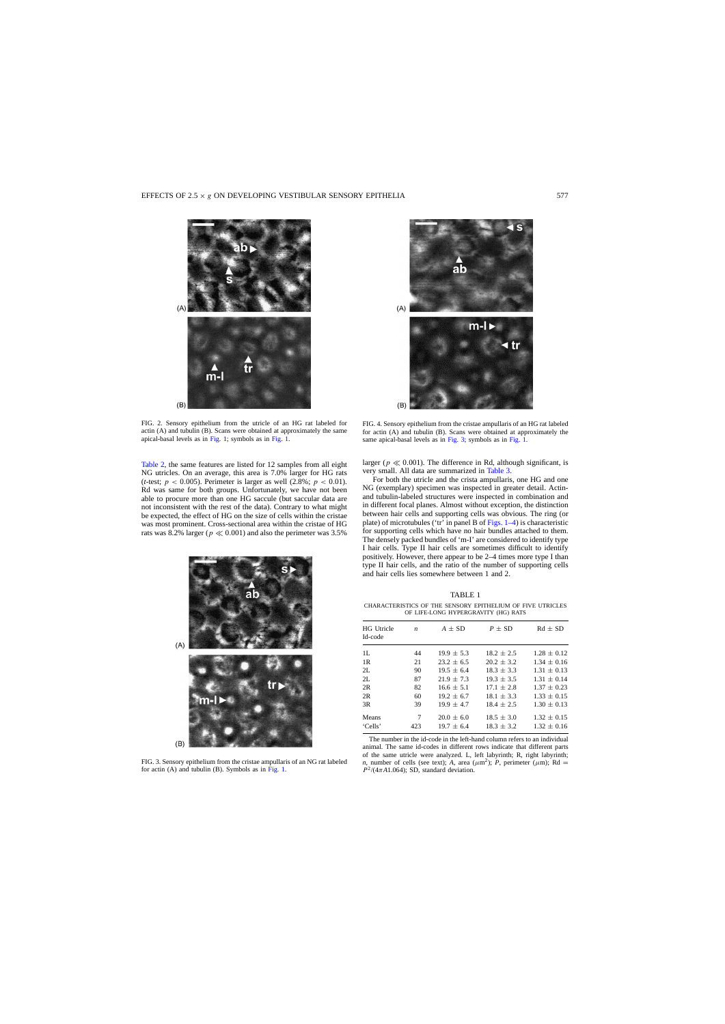<span id="page-2-0"></span>

 $(A)$ 

 $(B)$ 

FIG. 2. Sensory epithelium from the utricle of an HG rat labeled for actin (A) and tubulin (B). Scans were obtained at approximately the same apical-basal levels as in [Fig. 1; s](#page-1-0)ymbols as in [Fig. 1.](#page-1-0)

[Table 2,](#page-3-0) the same features are listed for 12 samples from all eight NG utricles. On an average, this area is 7.0% larger for HG rats (*t*-test;  $p < 0.005$ ). Perimeter is larger as well (2.8%;  $p < 0.01$ ). Rd was same for both groups. Unfortunately, we have not been able to procure more than one HG saccule (but saccular data are not inconsistent with the rest of the data). Contrary to what might be expected, the effect of HG on the size of cells within the cristae was most prominent. Cross-sectional area within the cristae of HG rats was 8.2% larger ( $p \ll 0.001$ ) and also the perimeter was 3.5%



FIG. 3. Sensory epithelium from the cristae ampullaris of an NG rat labeled for actin (A) and tubulin (B). Symbols as in [Fig. 1.](#page-1-0)



FIG. 4. Sensory epithelium from the cristae ampullaris of an HG rat labeled for actin (A) and tubulin (B). Scans were obtained at approximately the same apical-basal levels as in Fig. 3; symbols as in [Fig. 1.](#page-1-0)

larger ( $p \ll 0.001$ ). The difference in Rd, although significant, is very small. All data are summarized in [Table 3.](#page-3-0)

For both the utricle and the crista ampullaris, one HG and one NG (exemplary) specimen was inspected in greater detail. Actinand tubulin-labeled structures were inspected in combination and in different focal planes. Almost without exception, the distinction between hair cells and supporting cells was obvious. The ring (or plate) of microtubules ('tr' in panel B of [Figs. 1–4\) i](#page-1-0)s characteristic for supporting cells which have no hair bundles attached to them. The densely packed bundles of 'm-I' are considered to identify type I hair cells. Type II hair cells are sometimes difficult to identify positively. However, there appear to be 2–4 times more type I than type II hair cells, and the ratio of the number of supporting cells and hair cells lies somewhere between 1 and 2.

TABLE 1

CHARACTERISTICS OF THE SENSORY EPITHELIUM OF FIVE UTRICLES OF LIFE-LONG HYPERGRAVITY (HG) RATS

| <b>HG</b> Utricle<br>Id-code | $\boldsymbol{n}$ | $A \pm SD$     | $P \pm SD$     | $Rd + SD$       |
|------------------------------|------------------|----------------|----------------|-----------------|
| 1L                           | 44               | $19.9 \pm 5.3$ | $18.2 + 2.5$   | $1.28 \pm 0.12$ |
| 1 <sub>R</sub>               | 21               | $23.2 \pm 6.5$ | $20.2 \pm 3.2$ | $1.34 \pm 0.16$ |
| 2L                           | 90               | $19.5 \pm 6.4$ | $18.3 \pm 3.3$ | $1.31 \pm 0.13$ |
| 2L                           | 87               | $21.9 \pm 7.3$ | $19.3 \pm 3.5$ | $1.31 \pm 0.14$ |
| 2R                           | 82               | $16.6 \pm 5.1$ | $17.1 \pm 2.8$ | $1.37 \pm 0.23$ |
| 2R                           | 60               | $19.2 \pm 6.7$ | $18.1 \pm 3.3$ | $1.33 \pm 0.15$ |
| 3R                           | 39               | $19.9 \pm 4.7$ | $18.4 \pm 2.5$ | $1.30 \pm 0.13$ |
| Means                        | 7                | $20.0 + 6.0$   | $18.5 \pm 3.0$ | $1.32 \pm 0.15$ |
| 'Cells'                      | 423              | $19.7 \pm 6.4$ | $18.3 \pm 3.2$ | $1.32 \pm 0.16$ |
|                              |                  |                |                |                 |

The number in the id-code in the left-hand column refers to an individual animal. The same id-codes in different rows indicate that different parts of the same utricle were analyzed. L, left labyrinth; R, right labyrinth; *n*, number of cells (see text); *A*, area ( $\mu$ m<sup>2</sup>); *P*, perimeter ( $\mu$ m); Rd =  $P^2/(4\pi A1.064)$ ; SD, standard deviation.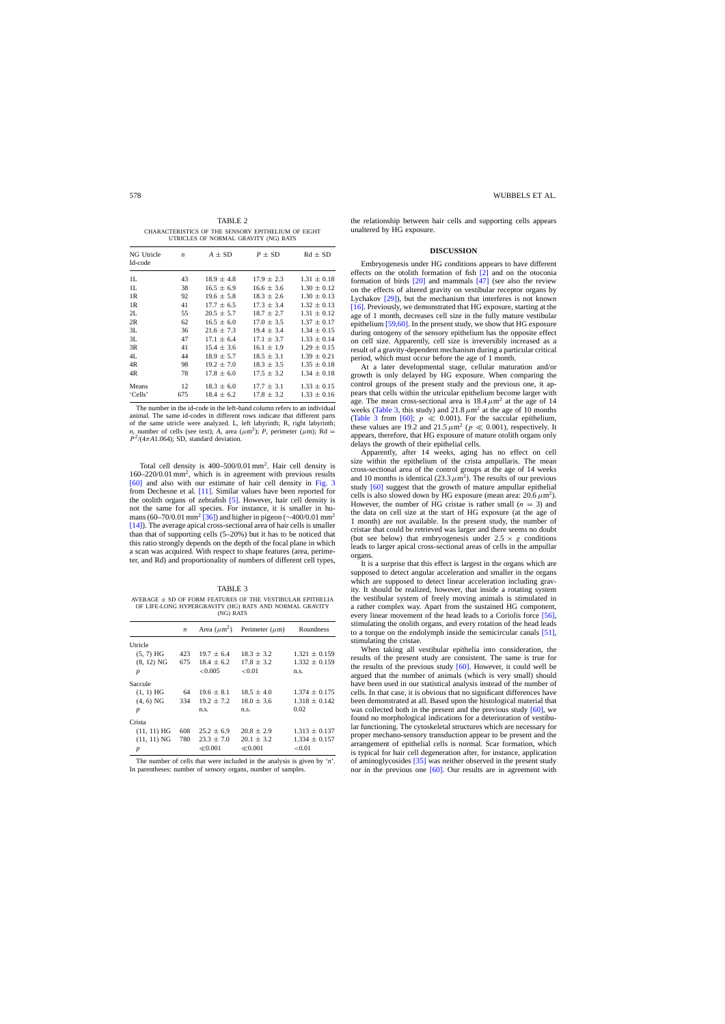<span id="page-3-0"></span>TABLE 2 CHARACTERISTICS OF THE SENSORY EPITHELIUM OF EIGHT UTRICLES OF NORMAL GRAVITY (NG) RATS

| NG Utricle<br>Id-code | $\boldsymbol{n}$ | $A \pm SD$     | $P \pm SD$     | $Rd \pm SD$     |
|-----------------------|------------------|----------------|----------------|-----------------|
| 1L                    | 43               | $18.9 \pm 4.8$ | $17.9 \pm 2.3$ | $1.31 \pm 0.18$ |
| 1L                    | 38               | $16.5 \pm 6.9$ | $16.6 \pm 3.6$ | $1.30 \pm 0.12$ |
| 1R                    | 92               | $19.6 \pm 5.8$ | $18.3 \pm 2.6$ | $1.30 \pm 0.13$ |
| 1R                    | 41               | $17.7 \pm 6.5$ | $17.3 \pm 3.4$ | $1.32 \pm 0.13$ |
| 2L                    | 55               | $20.5 \pm 5.7$ | $18.7 + 2.7$   | $1.31 \pm 0.12$ |
| 2R                    | 62               | $16.5 \pm 6.0$ | $17.0 \pm 3.5$ | $1.37 \pm 0.17$ |
| 3L                    | 36               | $21.6 \pm 7.3$ | $19.4 \pm 3.4$ | $1.34 \pm 0.15$ |
| 3L                    | 47               | $17.1 + 6.4$   | $17.1 \pm 3.7$ | $1.33 \pm 0.14$ |
| 3R                    | 41               | $15.4 \pm 3.6$ | $16.1 \pm 1.9$ | $1.29 \pm 0.15$ |
| 4L                    | 44               | $18.9 + 5.7$   | $18.5 \pm 3.1$ | $1.39 \pm 0.21$ |
| 4R                    | 98               | $19.2 \pm 7.0$ | $18.3 \pm 3.5$ | $1.35 \pm 0.18$ |
| 4R                    | 78               | $17.8 \pm 6.0$ | $17.5 \pm 3.2$ | $1.34 \pm 0.18$ |
| Means                 | 12               | $18.3 \pm 6.0$ | $17.7 \pm 3.1$ | $1.33 \pm 0.15$ |
| 'Cells'               | 675              | $18.4 \pm 6.2$ | $17.8 \pm 3.2$ | $1.33 \pm 0.16$ |

The number in the id-code in the left-hand column refers to an individual animal. The same id-codes in different rows indicate that different parts of the same utricle were analyzed. L, left labyrinth; R, right labyrinth; *n*, number of cells (see text); *A*, area ( $\mu$ m<sup>2</sup>); *P*, perimeter ( $\mu$ m); Rd =  $P^2/(4\pi A1.064)$ ; SD, standard deviation.

Total cell density is  $400-500/0.01$  mm<sup>2</sup>. Hair cell density is 160–220/0.01 mm2, which is in agreement with previous results [\[60\]](#page-5-0) and also with our estimate of hair cell density in [Fig. 3](#page-2-0) from Dechesne et al. [\[11\]. S](#page-4-0)imilar values have been reported for the otolith organs of zebrafish [\[5\].](#page-4-0) However, hair cell density is not the same for all species. For instance, it is smaller in hu-mans (60–70/0.01 mm<sup>2</sup> [\[36\]\)](#page-5-0) and higher in pigeon ( $\sim$ 400/0.01 mm<sup>2</sup> [\[14\]\).](#page-4-0) The average apical cross-sectional area of hair cells is smaller than that of supporting cells (5–20%) but it has to be noticed that this ratio strongly depends on the depth of the focal plane in which a scan was acquired. With respect to shape features (area, perimeter, and Rd) and proportionality of numbers of different cell types,

#### TABLE 3

AVERAGE  $\pm$  SD OF FORM FEATURES OF THE VESTIBULAR EPITHELIA OF LIFE-LONG HYPERGRAVITY (HG) RATS AND NORMAL GRAVITY (NG) RATS

|                  | n   | Area $(\mu m^2)$ | Perimeter $(\mu m)$ | Roundness         |
|------------------|-----|------------------|---------------------|-------------------|
| Utricle          |     |                  |                     |                   |
| $(5, 7)$ HG      | 423 | $19.7 \pm 6.4$   | $18.3 \pm 3.2$      | $1.321 \pm 0.159$ |
| $(8, 12)$ NG     | 675 | $18.4 \pm 6.2$   | $17.8 \pm 3.2$      | $1.332 \pm 0.159$ |
| $\boldsymbol{p}$ |     | < 0.005          | ${<}0.01$           | n.s.              |
| Saccule          |     |                  |                     |                   |
| $(1, 1)$ HG      | 64  | $19.6 \pm 8.1$   | $18.5 \pm 4.0$      | $1.374 + 0.175$   |
| $(4, 6)$ NG      | 334 | $19.2 + 7.2$     | $18.0 \pm 3.6$      | $1.318 + 0.142$   |
| $\boldsymbol{p}$ |     | n.s.             | n.s.                | 0.02              |
| Crista           |     |                  |                     |                   |
| $(11, 11)$ HG    | 608 | $25.2 \pm 6.9$   | $20.8 \pm 2.9$      | $1.313 + 0.137$   |
| $(11, 11)$ NG    | 780 | $23.3 + 7.0$     | $20.1 \pm 3.2$      | $1.334 + 0.157$   |
| $\boldsymbol{p}$ |     | $\ll 0.001$      | $\ll 0.001$         | ${<}0.01$         |

The number of cells that were included in the analysis is given by '*n*'. In parentheses: number of sensory organs, number of samples.

the relationship between hair cells and supporting cells appears unaltered by HG exposure.

## **DISCUSSION**

Embryogenesis under HG conditions appears to have different effects on the otolith formation of fish [\[2\]](#page-4-0) and on the otoconia formation of birds [\[20\]](#page-5-0) and mammals [\[47\]](#page-5-0) (see also the review on the effects of altered gravity on vestibular receptor organs by Lychakov [\[29\]\),](#page-5-0) but the mechanism that interferes is not known [\[16\]. P](#page-4-0)reviously, we demonstrated that HG exposure, starting at the age of 1 month, decreases cell size in the fully mature vestibular epithelium [\[59,60\]. I](#page-5-0)n the present study, we show that HG exposure during ontogeny of the sensory epithelium has the opposite effect on cell size. Apparently, cell size is irreversibly increased as a result of a gravity-dependent mechanism during a particular critical period, which must occur before the age of 1 month.

At a later developmental stage, cellular maturation and/or growth is only delayed by HG exposure. When comparing the control groups of the present study and the previous one, it appears that cells within the utricular epithelium become larger with age. The mean cross-sectional area is  $18.4 \mu m^2$  at the age of 14 weeks (Table 3, this study) and  $21.8 \mu m^2$  at the age of 10 months (Table 3 from [\[60\];](#page-5-0)  $p \ll 0.001$ ). For the saccular epithelium, these values are 19.2 and 21.5  $\mu$ m<sup>2</sup> ( $p \ll 0.001$ ), respectively. It appears, therefore, that HG exposure of mature otolith organs only delays the growth of their epithelial cells.

Apparently, after 14 weeks, aging has no effect on cell size within the epithelium of the crista ampullaris. The mean cross-sectional area of the control groups at the age of 14 weeks and 10 months is identical (23.3  $\mu$ m<sup>2</sup>). The results of our previous study [\[60\]](#page-5-0) suggest that the growth of mature ampullar epithelial cells is also slowed down by HG exposure (mean area:  $20.6 \,\mu \text{m}^2$ ). However, the number of HG cristae is rather small  $(n = 3)$  and the data on cell size at the start of HG exposure (at the age of 1 month) are not available. In the present study, the number of cristae that could be retrieved was larger and there seems no doubt (but see below) that embryogeness under  $2.5 \times g$  conditions leads to larger apical cross-sectional areas of cells in the ampullar organs.

It is a surprise that this effect is largest in the organs which are supposed to detect angular acceleration and smaller in the organs which are supposed to detect linear acceleration including gravity. It should be realized, however, that inside a rotating system the vestibular system of freely moving animals is stimulated in a rather complex way. Apart from the sustained HG component, every linear movement of the head leads to a Coriolis force [\[56\],](#page-5-0) stimulating the otolith organs, and every rotation of the head leads to a torque on the endolymph inside the semicircular canals [\[51\],](#page-5-0) stimulating the cristae.

When taking all vestibular epithelia into consideration, the results of the present study are consistent. The same is true for the results of the previous study [\[60\].](#page-5-0) However, it could well be argued that the number of animals (which is very small) should have been used in our statistical analysis instead of the number of cells. In that case, it is obvious that no significant differences have been demonstrated at all. Based upon the histological material that was collected both in the present and the previous study [\[60\],](#page-5-0) we found no morphological indications for a deterioration of vestibular functioning. The cytoskeletal structures which are necessary for proper mechano-sensory transduction appear to be present and the arrangement of epithelial cells is normal. Scar formation, which is typical for hair cell degeneration after, for instance, application of aminoglycosides [\[35\]](#page-5-0) was neither observed in the present study nor in the previous one [\[60\].](#page-5-0) Our results are in agreement with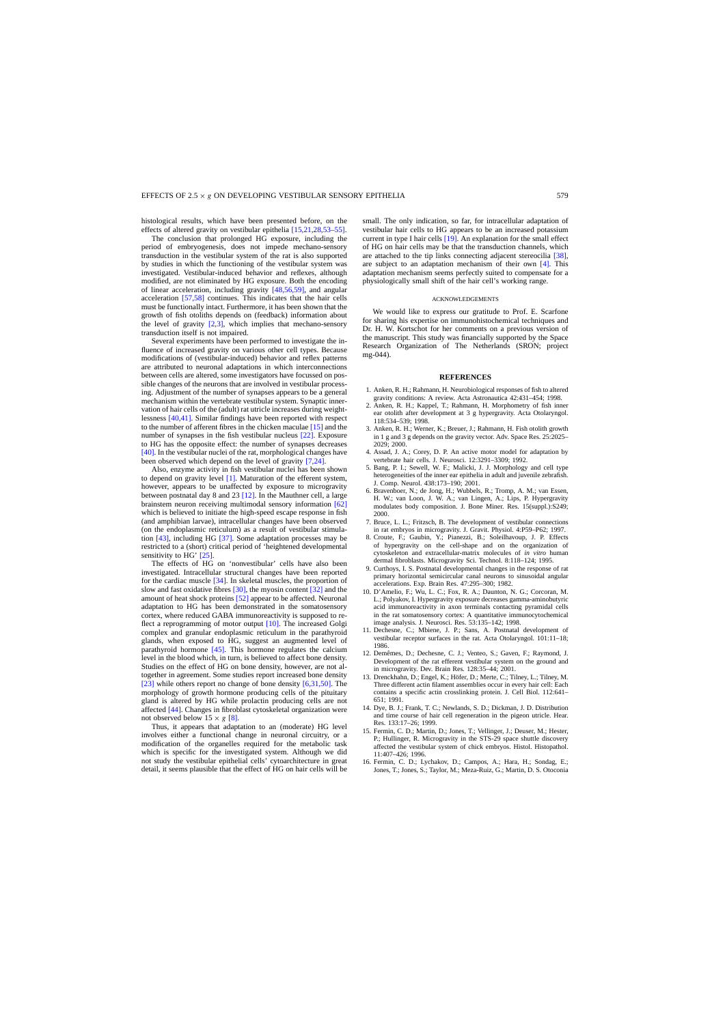<span id="page-4-0"></span>histological results, which have been presented before, on the effects of altered gravity on vestibular epithelia [15,21,28,53–55].

The conclusion that prolonged HG exposure, including the period of embryogenesis, does not impede mechano-sensory transduction in the vestibular system of the rat is also supported by studies in which the functioning of the vestibular system was investigated. Vestibular-induced behavior and reflexes, although modified, are not eliminated by HG exposure. Both the encoding of linear acceleration, including gravity [\[48,56,59\],](#page-5-0) and angular acceleration [\[57,58\]](#page-5-0) continues. This indicates that the hair cells must be functionally intact. Furthermore, it has been shown that the growth of fish otoliths depends on (feedback) information about the level of gravity  $[2,3]$ , which implies that mechano-sensory transduction itself is not impaired.

Several experiments have been performed to investigate the influence of increased gravity on various other cell types. Because modifications of (vestibular-induced) behavior and reflex patterns are attributed to neuronal adaptations in which interconnections between cells are altered, some investigators have focussed on possible changes of the neurons that are involved in vestibular processing. Adjustment of the number of synapses appears to be a general mechanism within the vertebrate vestibular system. Synaptic innervation of hair cells of the (adult) rat utricle increases during weightlessness [\[40,41\]. S](#page-5-0)imilar findings have been reported with respect to the number of afferent fibres in the chicken maculae [15] and the number of synapses in the fish vestibular nucleus [\[22\].](#page-5-0) Exposure to HG has the opposite effect: the number of synapses decreases [\[40\]. I](#page-5-0)n the vestibular nuclei of the rat, morphological changes have been observed which depend on the level of gravity [7,24].

Also, enzyme activity in fish vestibular nuclei has been shown to depend on gravity level [1]. Maturation of the efferent system, however, appears to be unaffected by exposure to microgravity between postnatal day 8 and 23 [12]. In the Mauthner cell, a large brainstem neuron receiving multimodal sensory information [\[62\]](#page-5-0) which is believed to initiate the high-speed escape response in fish (and amphibian larvae), intracellular changes have been observed (on the endoplasmic reticulum) as a result of vestibular stimulation [\[43\],](#page-5-0) including HG [\[37\]. S](#page-5-0)ome adaptation processes may be restricted to a (short) critical period of 'heightened developmental sensitivity to HG' [\[25\].](#page-5-0)

The effects of HG on 'nonvestibular' cells have also been investigated. Intracellular structural changes have been reported for the cardiac muscle [\[34\]. I](#page-5-0)n skeletal muscles, the proportion of slow and fast oxidative fibres [\[30\], t](#page-5-0)he myosin content [\[32\]](#page-5-0) and the amount of heat shock proteins [\[52\]](#page-5-0) appear to be affected. Neuronal adaptation to HG has been demonstrated in the somatosensory cortex, where reduced GABA immunoreactivity is supposed to reflect a reprogramming of motor output [10]. The increased Golgi complex and granular endoplasmic reticulum in the parathyroid glands, when exposed to HG, suggest an augmented level of parathyroid hormone  $[45]$ . This hormone regulates the calcium level in the blood which, in turn, is believed to affect bone density. Studies on the effect of HG on bone density, however, are not altogether in agreement. Some studies report increased bone density [\[23\]](#page-5-0) while others report no change of bone density [6,31,50]. The morphology of growth hormone producing cells of the pituitary gland is altered by HG while prolactin producing cells are not affected [\[44\]. C](#page-5-0)hanges in fibroblast cytoskeletal organization were not observed below  $15 \times g$  [8].

Thus, it appears that adaptation to an (moderate) HG level involves either a functional change in neuronal circuitry, or a modification of the organelles required for the metabolic task which is specific for the investigated system. Although we did not study the vestibular epithelial cells' cytoarchitecture in great detail, it seems plausible that the effect of HG on hair cells will be

small. The only indication, so far, for intracellular adaptation of vestibular hair cells to HG appears to be an increased potassium current in type I hair cells [\[19\]. A](#page-5-0)n explanation for the small effect of HG on hair cells may be that the transduction channels, which are attached to the tip links connecting adjacent stereocilia [\[38\],](#page-5-0) are subject to an adaptation mechanism of their own  $[4]$ . This adaptation mechanism seems perfectly suited to compensate for a physiologically small shift of the hair cell's working range.

#### ACKNOWLEDGEMENTS

We would like to express our gratitude to Prof. E. Scarfone for sharing his expertise on immunohistochemical techniques and Dr. H. W. Kortschot for her comments on a previous version of the manuscript. This study was financially supported by the Space Research Organization of The Netherlands (SRON; project mg-044).

# **REFERENCES**

- 1. Anken, R. H.; Rahmann, H. Neurobiological responses of fish to altered gravity conditions: A review. Acta Astronautica 42:431–454; 1998.
- 2. Anken, R. H.; Kappel, T.; Rahmann, H. Morphometry of fish inner ear otolith after development at 3 g hypergravity. Acta Otolaryngol. 118:534–539; 1998.
- 3. Anken, R. H.; Werner, K.; Breuer, J.; Rahmann, H. Fish otolith growth in 1 g and 3 g depends on the gravity vector. Adv. Space Res. 25:2025– 2029; 2000.
- 4. Assad, J. A.; Corey, D. P. An active motor model for adaptation by vertebrate hair cells. J. Neurosci. 12:3291–3309; 1992.
- 5. Bang, P. I.; Sewell, W. F.; Malicki, J. J. Morphology and cell type heterogeneities of the inner ear epithelia in adult and juvenile zebrafish. J. Comp. Neurol. 438:173–190; 2001.
- 6. Bravenboer, N.; de Jong, H.; Wubbels, R.; Tromp, A. M.; van Essen, H. W.; van Loon, J. W. A.; van Lingen, A.; Lips, P. Hypergravity modulates body composition. J. Bone Miner. Res. 15(suppl.):S249; 2000.
- 7. Bruce, L. L.; Fritzsch, B. The development of vestibular connections in rat embryos in microgravity. J. Gravit. Physiol. 4:P59–P62; 1997.
- 8. Croute, F.; Gaubin, Y.; Pianezzi, B.; Soleilhavoup, J. P. Effects of hypergravity on the cell-shape and on the organization of cytoskeleton and extracellular-matrix molecules of *in vitro* human dermal fibroblasts. Microgravity Sci. Technol. 8:118–124; 1995.
- 9. Curthoys, I. S. Postnatal developmental changes in the response of rat primary horizontal semicircular canal neurons to sinusoidal angular accelerations. Exp. Brain Res. 47:295–300; 1982.
- 10. D'Amelio, F.; Wu, L. C.; Fox, R. A.; Daunton, N. G.; Corcoran, M. L.; Polyakov, I. Hypergravity exposure decreases gamma-aminobutyric acid immunoreactivity in axon terminals contacting pyramidal cells in the rat somatosensory cortex: A quantitative immunocytochemical image analysis. J. Neurosci. Res. 53:135–142; 1998.
- 11. Dechesne, C.; Mbiene, J. P.; Sans, A. Postnatal development of vestibular receptor surfaces in the rat. Acta Otolaryngol. 101:11–18; 1986.
- 12. Demêmes, D.; Dechesne, C. J.; Venteo, S.; Gaven, F.; Raymond, J. Development of the rat efferent vestibular system on the ground and in microgravity. Dev. Brain Res. 128:35–44; 2001.
- 13. Drenckhahn, D.; Engel, K.; Höfer, D.; Merte, C.; Tilney, L.; Tilney, M. Three different actin filament assemblies occur in every hair cell: Each contains a specific actin crosslinking protein. J. Cell Biol. 112:641– 651; 1991.
- 14. Dye, B. J.; Frank, T. C.; Newlands, S. D.; Dickman, J. D. Distribution and time course of hair cell regeneration in the pigeon utricle. Hear. Res. 133:17–26; 1999.
- 15. Fermin, C. D.; Martin, D.; Jones, T.; Vellinger, J.; Deuser, M.; Hester, P.; Hullinger, R. Microgravity in the STS-29 space shuttle discovery affected the vestibular system of chick embryos. Histol. Histopathol. 11:407–426; 1996.
- 16. Fermin, C. D.; Lychakov, D.; Campos, A.; Hara, H.; Sondag, E.; Jones, T.; Jones, S.; Taylor, M.; Meza-Ruiz, G.; Martin, D. S. Otoconia